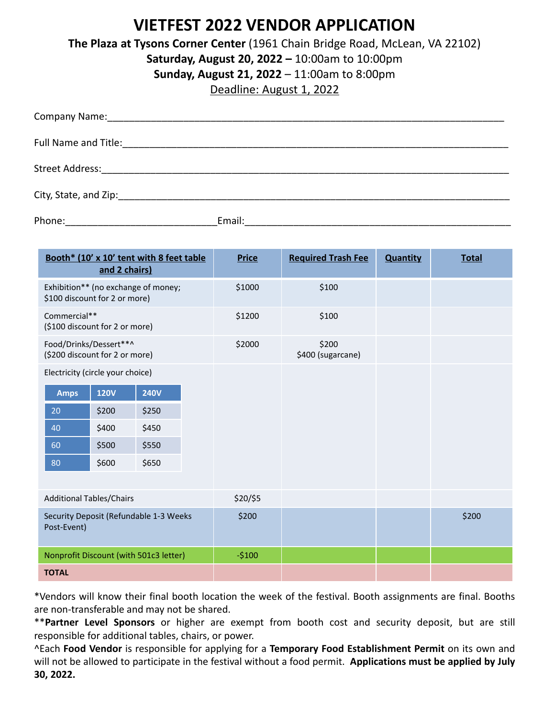# **VIETFEST 2022 VENDOR APPLICATION**

**The Plaza at Tysons Corner Center** (1961 Chain Bridge Road, McLean, VA 22102)

**Saturday, August 20, 2022 –** 10:00am to 10:00pm

**Sunday, August 21, 2022** – 11:00am to 8:00pm

Deadline: August 1, 2022

| Phone: | Email: |
|--------|--------|

| Booth* (10' x 10' tent with 8 feet table<br>and 2 chairs)            | <b>Price</b> | <b>Required Trash Fee</b>  | <b>Quantity</b> | <b>Total</b> |
|----------------------------------------------------------------------|--------------|----------------------------|-----------------|--------------|
| Exhibition** (no exchange of money;<br>\$100 discount for 2 or more) | \$1000       | \$100                      |                 |              |
| Commercial**<br>(\$100 discount for 2 or more)                       | \$1200       | \$100                      |                 |              |
| Food/Drinks/Dessert**^<br>(\$200 discount for 2 or more)             | \$2000       | \$200<br>\$400 (sugarcane) |                 |              |
| Electricity (circle your choice)                                     |              |                            |                 |              |
| <b>120V</b><br><b>240V</b><br><b>Amps</b>                            |              |                            |                 |              |
| \$200<br>\$250<br>20                                                 |              |                            |                 |              |
| \$450<br>\$400<br>40                                                 |              |                            |                 |              |
| \$500<br>\$550<br>60                                                 |              |                            |                 |              |
| \$600<br>\$650<br>80                                                 |              |                            |                 |              |
|                                                                      |              |                            |                 |              |
| <b>Additional Tables/Chairs</b>                                      | \$20/\$5     |                            |                 |              |
| Security Deposit (Refundable 1-3 Weeks<br>Post-Event)                | \$200        |                            |                 | \$200        |
| Nonprofit Discount (with 501c3 letter)                               | $-5100$      |                            |                 |              |
| <b>TOTAL</b>                                                         |              |                            |                 |              |

\*Vendors will know their final booth location the week of the festival. Booth assignments are final. Booths are non‐transferable and may not be shared.

\*\***Partner Level Sponsors** or higher are exempt from booth cost and security deposit, but are still responsible for additional tables, chairs, or power.

^Each **Food Vendor** is responsible for applying for a **Temporary Food Establishment Permit** on its own and will not be allowed to participate in the festival without a food permit. **Applications must be applied by July 30, 2022.**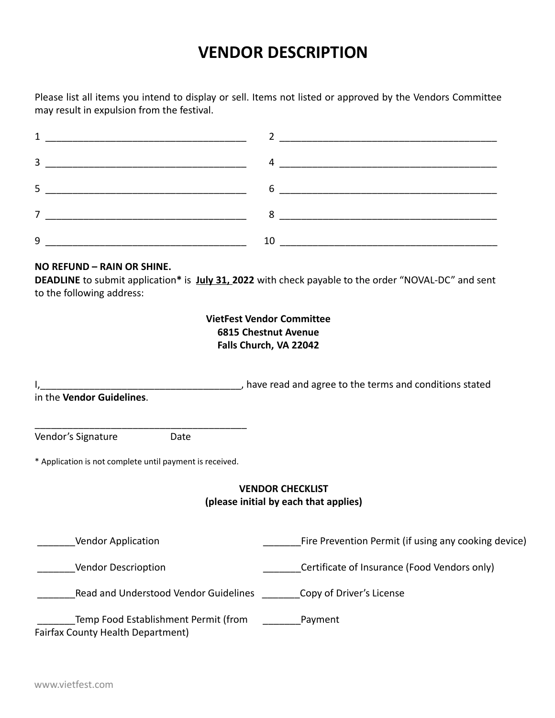# **VENDOR DESCRIPTION**

Please list all items you intend to display or sell. Items not listed or approved by the Vendors Committee may result in expulsion from the festival.

| <u> 1980 - Jan James James James James James James James James James James James James James James James James J</u> |                                                                                                                                                                                                                                                                                                                                                                                                                                           |
|----------------------------------------------------------------------------------------------------------------------|-------------------------------------------------------------------------------------------------------------------------------------------------------------------------------------------------------------------------------------------------------------------------------------------------------------------------------------------------------------------------------------------------------------------------------------------|
|                                                                                                                      | $\begin{array}{cccccccccccccc} 3 & \textcolor{red}{\textbf{1} & \textbf{1} & \textbf{1} & \textbf{1} & \textbf{1} & \textbf{1} & \textbf{1} & \textbf{1} & \textbf{1} & \textbf{1} & \textbf{1} & \textbf{1} & \textbf{1} & \textbf{1} & \textbf{1} & \textbf{1} & \textbf{1} & \textbf{1} & \textbf{1} & \textbf{1} & \textbf{1} & \textbf{1} & \textbf{1} & \textbf{1} & \textbf{1} & \textbf{1} & \textbf{1} & \textbf{1} & \textbf{1$ |
|                                                                                                                      |                                                                                                                                                                                                                                                                                                                                                                                                                                           |
|                                                                                                                      |                                                                                                                                                                                                                                                                                                                                                                                                                                           |
| 9                                                                                                                    |                                                                                                                                                                                                                                                                                                                                                                                                                                           |

### **NO REFUND – RAIN OR SHINE.**

**DEADLINE** to submit application**\*** is **July 31, 2022** with check payable to the order "NOVAL‐DC" and sent to the following address:

## **VietFest Vendor Committee 6815 Chestnut Avenue Falls Church, VA 22042**

I, that is a set of the set of the set of the terms and conditions stated in the terms and conditions stated in the **Vendor Guidelines**.

Vendor's Signature **Date** 

\* Application is not complete until payment is received.

\_\_\_\_\_\_\_\_\_\_\_\_\_\_\_\_\_\_\_\_\_\_\_\_\_\_\_\_\_\_\_\_\_\_\_\_\_\_\_

### **VENDOR CHECKLIST (please initial by each that applies)**

Lacken Line Prevention Permit (if using any cooking device)

\_\_\_\_\_\_\_Vendor Descrioption \_\_\_\_\_\_\_Certificate of Insurance (Food Vendors only)

\_\_\_\_\_\_\_Read and Understood Vendor Guidelines \_\_\_\_\_\_\_Copy of Driver's License

Temp Food Establishment Permit (from Temp Payment Fairfax County Health Department)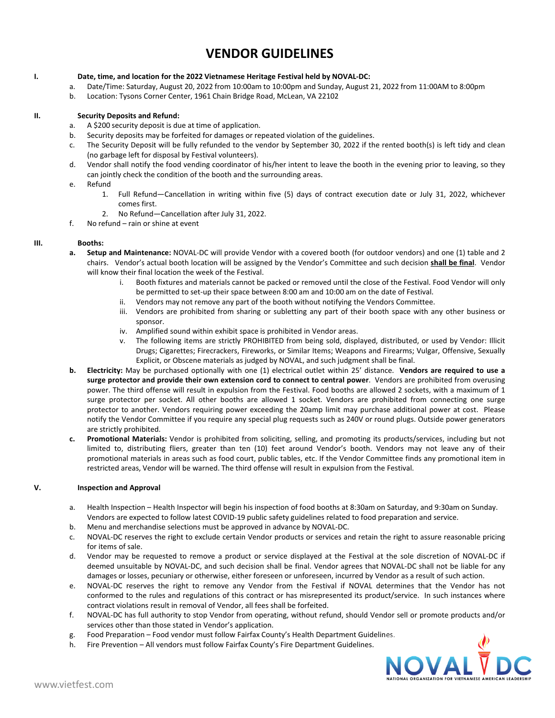## **VENDOR GUIDELINES**

#### **I. Date, time, and location for the 2022 Vietnamese Heritage Festival held by NOVAL‐DC:**

- a. Date/Time: Saturday, August 20, 2022 from 10:00am to 10:00pm and Sunday, August 21, 2022 from 11:00AM to 8:00pm
- b. Location: Tysons Corner Center, 1961 Chain Bridge Road, McLean, VA 22102

#### **II. Security Deposits and Refund:**

- a. A \$200 security deposit is due at time of application.
- b. Security deposits may be forfeited for damages or repeated violation of the guidelines.
- c. The Security Deposit will be fully refunded to the vendor by September 30, 2022 if the rented booth(s) is left tidy and clean (no garbage left for disposal by Festival volunteers).
- d. Vendor shall notify the food vending coordinator of his/her intent to leave the booth in the evening prior to leaving, so they can jointly check the condition of the booth and the surrounding areas.

#### e. Refund

- 1. Full Refund—Cancellation in writing within five (5) days of contract execution date or July 31, 2022, whichever comes first.
- 2. No Refund—Cancellation after July 31, 2022.
- f. No refund rain or shine at event

#### **III. Booths:**

- **a. Setup and Maintenance:** NOVAL‐DC will provide Vendor with a covered booth (for outdoor vendors) and one (1) table and 2 chairs. Vendor's actual booth location will be assigned by the Vendor's Committee and such decision **shall be final**. Vendor will know their final location the week of the Festival.
	- Booth fixtures and materials cannot be packed or removed until the close of the Festival. Food Vendor will only be permitted to set‐up their space between 8:00 am and 10:00 am on the date of Festival.
	- ii. Vendors may not remove any part of the booth without notifying the Vendors Committee.
	- iii. Vendors are prohibited from sharing or subletting any part of their booth space with any other business or sponsor.
	- iv. Amplified sound within exhibit space is prohibited in Vendor areas.
	- v. The following items are strictly PROHIBITED from being sold, displayed, distributed, or used by Vendor: Illicit Drugs; Cigarettes; Firecrackers, Fireworks, or Similar Items; Weapons and Firearms; Vulgar, Offensive, Sexually Explicit, or Obscene materials as judged by NOVAL, and such judgment shall be final.
- **b. Electricity:** May be purchased optionally with one (1) electrical outlet within 25' distance. **Vendors are required to use a surge protector and provide their own extension cord to connect to central power**. Vendors are prohibited from overusing power. The third offense will result in expulsion from the Festival. Food booths are allowed 2 sockets, with a maximum of 1 surge protector per socket. All other booths are allowed 1 socket. Vendors are prohibited from connecting one surge protector to another. Vendors requiring power exceeding the 20amp limit may purchase additional power at cost. Please notify the Vendor Committee if you require any special plug requests such as 240V or round plugs. Outside power generators are strictly prohibited.
- **c. Promotional Materials:** Vendor is prohibited from soliciting, selling, and promoting its products/services, including but not limited to, distributing fliers, greater than ten (10) feet around Vendor's booth. Vendors may not leave any of their promotional materials in areas such as food court, public tables, etc. If the Vendor Committee finds any promotional item in restricted areas, Vendor will be warned. The third offense will result in expulsion from the Festival.

#### **V. Inspection and Approval**

- a. Health Inspection Health Inspector will begin his inspection of food booths at 8:30am on Saturday, and 9:30am on Sunday. Vendors are expected to follow latest COVID‐19 public safety guidelines related to food preparation and service.
- b. Menu and merchandise selections must be approved in advance by NOVAL‐DC.
- c. NOVAL‐DC reserves the right to exclude certain Vendor products or services and retain the right to assure reasonable pricing for items of sale.
- d. Vendor may be requested to remove a product or service displayed at the Festival at the sole discretion of NOVAL‐DC if deemed unsuitable by NOVAL‐DC, and such decision shall be final. Vendor agrees that NOVAL‐DC shall not be liable for any damages or losses, pecuniary or otherwise, either foreseen or unforeseen, incurred by Vendor as a result of such action.
- e. NOVAL‐DC reserves the right to remove any Vendor from the Festival if NOVAL determines that the Vendor has not conformed to the rules and regulations of this contract or has misrepresented its product/service. In such instances where contract violations result in removal of Vendor, all fees shall be forfeited.
- f. NOVAL‐DC has full authority to stop Vendor from operating, without refund, should Vendor sell or promote products and/or services other than those stated in Vendor's application.
- g. Food Preparation Food vendor must follow Fairfax County's Health Department Guidelines.
- h. Fire Prevention All vendors must follow Fairfax County's Fire Department Guidelines.